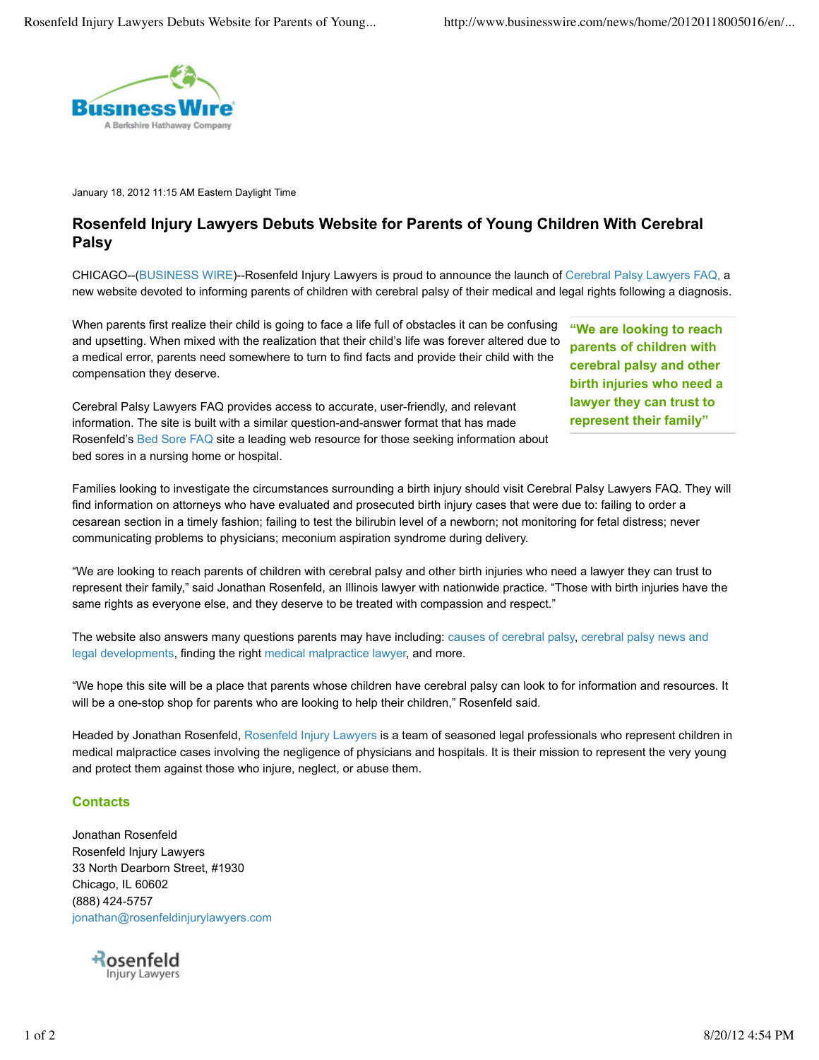

January 18, 2012 11:15 AM Eastern Daylight Time

## **Rosenfeld Injury Lawyers Debuts Website for Parents of Young Children With Cerebral Palsy**

CHICAGO--(BUSINESS WIRE)--Rosenfeld Injury Lawyers is proud to announce the launch of Cerebral Palsy Lawyers FAQ, a new website devoted to informing parents of children with cerebral palsy of their medical and legal rights following a diagnosis.

When parents first realize their child is going to face a life full of obstacles it can be confusing and upsetting. When mixed with the realization that their child's life was forever altered due to a medical error, parents need somewhere to turn to find facts and provide their child with the compensation they deserve.

Cerebral Palsy Lawyers FAQ provides access to accurate, user-friendly, and relevant information. The site is built with a similar question-and-answer format that has made Rosenfeld's Bed Sore FAQ site a leading web resource for those seeking information about bed sores in a nursing home or hospital.

**"We are looking to reach parents of children with cerebral palsy and other birth injuries who need a lawyer they can trust to represent their family"**

Families looking to investigate the circumstances surrounding a birth injury should visit Cerebral Palsy Lawyers FAQ. They will find information on attorneys who have evaluated and prosecuted birth injury cases that were due to: failing to order a cesarean section in a timely fashion; failing to test the bilirubin level of a newborn; not monitoring for fetal distress; never communicating problems to physicians; meconium aspiration syndrome during delivery.

"We are looking to reach parents of children with cerebral palsy and other birth injuries who need a lawyer they can trust to represent their family," said Jonathan Rosenfeld, an Illinois lawyer with nationwide practice. "Those with birth injuries have the same rights as everyone else, and they deserve to be treated with compassion and respect."

The website also answers many questions parents may have including: causes of cerebral palsy, cerebral palsy news and legal developments, finding the right medical malpractice lawyer, and more.

"We hope this site will be a place that parents whose children have cerebral palsy can look to for information and resources. It will be a one-stop shop for parents who are looking to help their children," Rosenfeld said.

Headed by Jonathan Rosenfeld, Rosenfeld Injury Lawyers is a team of seasoned legal professionals who represent children in medical malpractice cases involving the negligence of physicians and hospitals. It is their mission to represent the very young and protect them against those who injure, neglect, or abuse them.

## **Contacts**

Jonathan Rosenfeld Rosenfeld Injury Lawyers 33 North Dearborn Street, #1930 Chicago, IL 60602 (888) 424-5757 jonathan@rosenfeldinjurylawyers.com